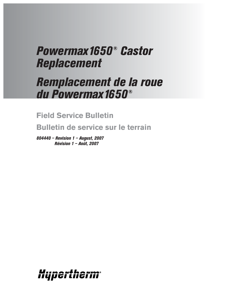# *Powermax1650® Castor Replacement*

# *Remplacement de la roue du Powermax1650®*

## **Field Service Bulletin**

**Bulletin de service sur le terrain**

*804440 – Revision 1 – August, 2007 Révision 1 – Août, 2007*

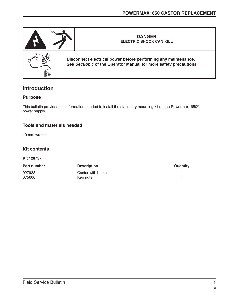

### **Introduction**

#### **Purpose**

This bulletin provides the information needed to install the stationary mounting kit on the Powermax1650® power supply.

#### **Tools and materials needed**

10 mm wrench

#### **Kit contents**

**Kit 128757**

| <b>Part number</b> | <b>Description</b> | Quantity |
|--------------------|--------------------|----------|
| 027933             | Castor with brake  |          |
| 075600             | Kep nuts           |          |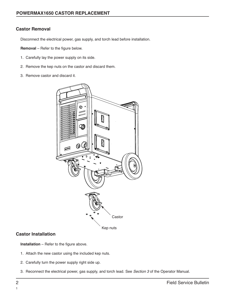#### **Castor Removal**

Disconnect the electrical power, gas supply, and torch lead before installation.

**Removal** – Refer to the figure below.

- 1. Carefully lay the power supply on its side.
- 2. Remove the kep nuts on the castor and discard them.
- 3. Remove castor and discard it.



#### **Castor Installation**

**Installation** – Refer to the figure above.

- 1. Attach the new castor using the included kep nuts.
- 2. Carefully turn the power supply right side up.
- 3. Reconnect the electrical power, gas supply, and torch lead. See Section 3 of the Operator Manual.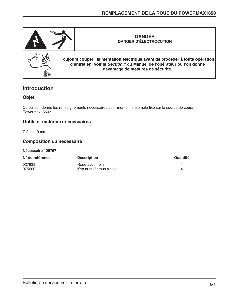

### **Introduction**

#### **Objet**

Ce bulletin donne les renseignements nécessaires pour monter l'ensemble fixe sur la source de courant Powermax1650®.

#### **Outils et matériaux nécessaires**

Clé de 10 mm

#### **Composition du nécessaire**

#### **Nécessaire 128757**

| N° de référence | <b>Description</b>      | Quantité |
|-----------------|-------------------------|----------|
| 027933          | Roue avec frein         |          |
| 075600          | Kep nuts (écrous-frein) |          |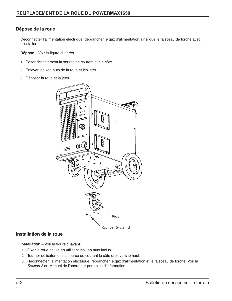#### **Dépose de la roue**

Déconnecter l'alimentation électrique, débrancher le gaz d'alimentation ainsi que le faisceau de torche avec d'installer.

**Dépose** – Voir la figure ci-après.

- 1. Poser délicatement la source de courant sur le côté.
- 2. Enlever les kep nuts de la roue et les jeter.
- 3. Déposer la roue et la jeter.



#### **Installation de la roue**

**Installation** – Voir la figure ci-avant.

- 1. Fixer la roue neuve en utilisant les kep nuts inclus.
- 2. Tourner délicatement la source de courant le côté droit vers le haut.
- 3. Reconnecter l'alimentation électrique, rebrancher le gaz d'alimentation et le faisceau de torche. Voir la Section 3 du Manuel de l'opérateur pour plus d'information.